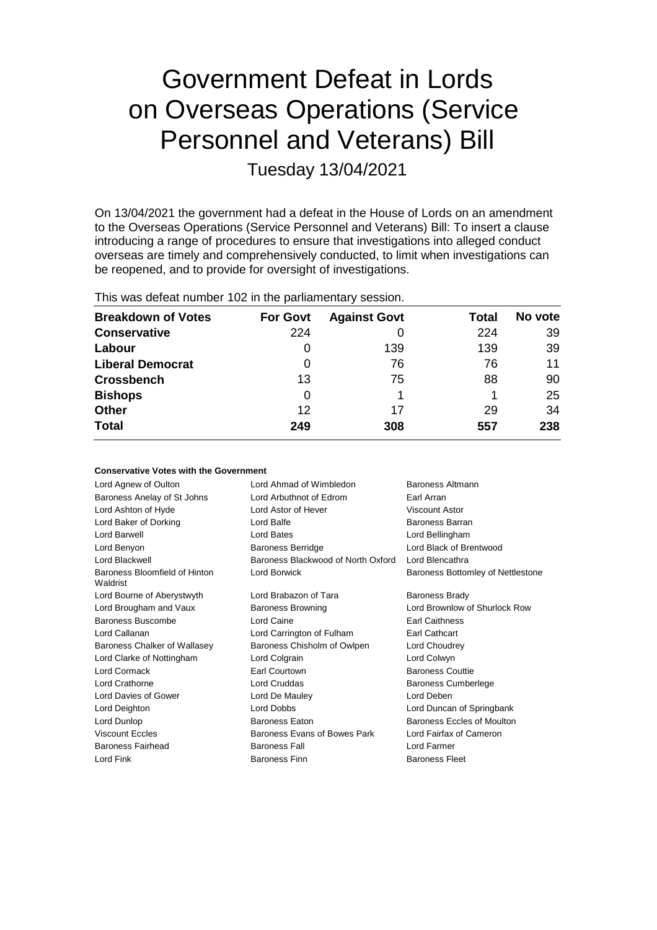# Government Defeat in Lords on Overseas Operations (Service Personnel and Veterans) Bill

Tuesday 13/04/2021

On 13/04/2021 the government had a defeat in the House of Lords on an amendment to the Overseas Operations (Service Personnel and Veterans) Bill: To insert a clause introducing a range of procedures to ensure that investigations into alleged conduct overseas are timely and comprehensively conducted, to limit when investigations can be reopened, and to provide for oversight of investigations.

|  |  |  | This was defeat number 102 in the parliamentary session. |  |
|--|--|--|----------------------------------------------------------|--|
|--|--|--|----------------------------------------------------------|--|

**Conservative Votes with the Government**

| <b>Breakdown of Votes</b> | <b>For Govt</b> | <b>Against Govt</b> | Total | No vote |
|---------------------------|-----------------|---------------------|-------|---------|
| <b>Conservative</b>       | 224             |                     | 224   | 39      |
| Labour                    | O               | 139                 | 139   | 39      |
| <b>Liberal Democrat</b>   | 0               | 76                  | 76    | 11      |
| <b>Crossbench</b>         | 13              | 75                  | 88    | 90      |
| <b>Bishops</b>            | 0               |                     |       | 25      |
| <b>Other</b>              | 12              | 17                  | 29    | 34      |
| <b>Total</b>              | 249             | 308                 | 557   | 238     |

| CONSERVATIVE AOIES MILIT THE QUAELITIIE III |                                    |                                   |
|---------------------------------------------|------------------------------------|-----------------------------------|
| Lord Agnew of Oulton                        | Lord Ahmad of Wimbledon            | Baroness Altmann                  |
| Baroness Anelay of St Johns                 | Lord Arbuthnot of Edrom            | Earl Arran                        |
| Lord Ashton of Hyde                         | Lord Astor of Hever                | <b>Viscount Astor</b>             |
| Lord Baker of Dorking                       | Lord Balfe                         | Baroness Barran                   |
| Lord Barwell                                | Lord Bates                         | Lord Bellingham                   |
| Lord Benyon                                 | <b>Baroness Berridge</b>           | Lord Black of Brentwood           |
| Lord Blackwell                              | Baroness Blackwood of North Oxford | Lord Blencathra                   |
| Baroness Bloomfield of Hinton<br>Waldrist   | Lord Borwick                       | Baroness Bottomley of Nettlestone |
| Lord Bourne of Aberystwyth                  | Lord Brabazon of Tara              | <b>Baroness Brady</b>             |
| Lord Brougham and Vaux                      | <b>Baroness Browning</b>           | Lord Brownlow of Shurlock Row     |
| Baroness Buscombe                           | Lord Caine                         | <b>Earl Caithness</b>             |
| Lord Callanan                               | Lord Carrington of Fulham          | Earl Cathcart                     |
| Baroness Chalker of Wallasey                | Baroness Chisholm of Owlpen        | Lord Choudrey                     |
| Lord Clarke of Nottingham                   | Lord Colgrain                      | Lord Colwyn                       |
| Lord Cormack                                | Earl Courtown                      | <b>Baroness Couttie</b>           |
| Lord Crathorne                              | Lord Cruddas                       | <b>Baroness Cumberlege</b>        |
| Lord Davies of Gower                        | Lord De Mauley                     | Lord Deben                        |
| Lord Deighton                               | Lord Dobbs                         | Lord Duncan of Springbank         |
| Lord Dunlop                                 | <b>Baroness Eaton</b>              | Baroness Eccles of Moulton        |
| <b>Viscount Eccles</b>                      | Baroness Evans of Bowes Park       | Lord Fairfax of Cameron           |
| Baroness Fairhead                           | <b>Baroness Fall</b>               | Lord Farmer                       |
| Lord Fink                                   | <b>Baroness Finn</b>               | <b>Baroness Fleet</b>             |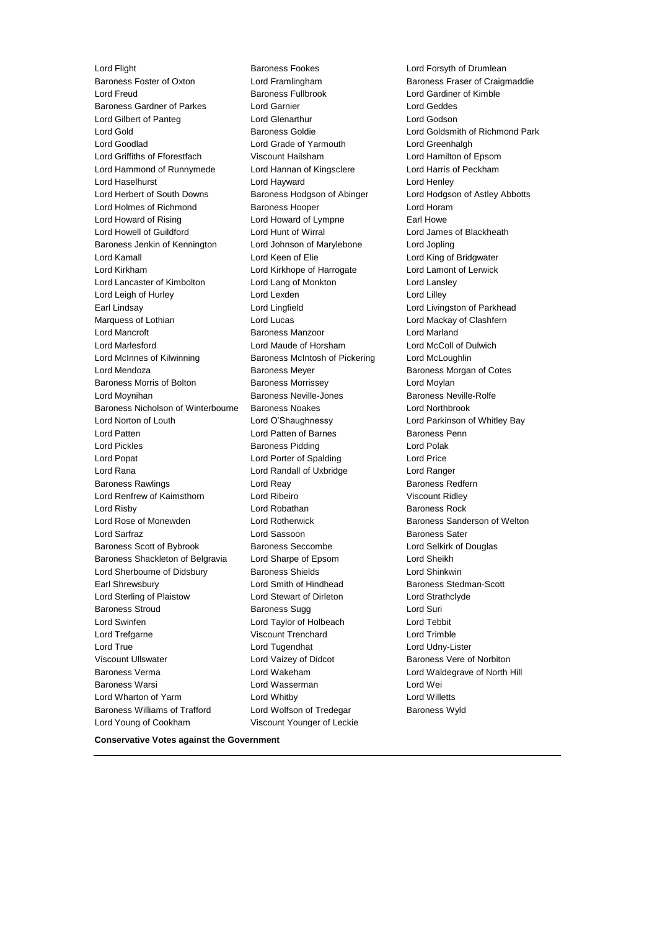Lord Flight **Baroness Fookes** Lord Forsyth of Drumlean Baroness Foster of Oxton Lord Framlingham Baroness Fraser of Craigmaddie<br>
Lord Freud Cord Framlingham Baroness Fullbrook Lord Gardiner of Kimble Lord Freud Baroness Fullbrook Lord Gardiner of Kimble Baroness Gardner of Parkes Lord Garnier Lord Geddes Lord Gilbert of Panteg Lord Glenarthur Lord Godson Lord Gold Baroness Goldie Lord Goldsmith of Richmond Park Lord Goodlad Lord Grade of Yarmouth Lord Greenhalgh Lord Griffiths of Fforestfach Viscount Hailsham Lord Hamilton of Epsom Lord Hammond of Runnymede Lord Hannan of Kingsclere Lord Harris of Peckham Lord Haselhurst Lord Hayward Lord Henley Lord Herbert of South Downs Baroness Hodgson of Abinger Lord Hodgson of Astley Abbotts Lord Holmes of Richmond Baroness Hooper Lord Horam Lord Howard of Rising Lord Howard of Lympne Earl Howe Lord Howell of Guildford Lord Hunt of Wirral Lord James of Blackheath Baroness Jenkin of Kennington Lord Johnson of Marylebone Lord Jopling Lord Kamall Lord Keen of Elie Lord King of Bridgwater Lord Kirkham Lord Kirkhope of Harrogate Lord Lamont of Lerwick Lord Lancaster of Kimbolton Lord Lang of Monkton Lord Lansley Lord Leigh of Hurley **Lord Lord Lexden** Lord Lilley Earl Lindsay Lord Lingfield Lord Livingston of Parkhead Marquess of Lothian **Lord Lord Lucas** Lord Mackay of Clashfern Lord Mancroft Baroness Manzoor Lord Marland Lord Marlesford **Collect Cord Maude of Horsham** Lord McColl of Dulwich<br>
Lord McColl of Dulwich<br>
Lord McLoughlin<br>
Lord McLoughlin Lord Mendoza Baroness Meyer Baroness Morgan of Cotes Baroness Morris of Bolton **Baroness Morrissey Baroness Morrissey** Lord Moylan Lord Moynihan Baroness Neville-Jones Baroness Neville-Rolfe Baroness Nicholson of Winterbourne Baroness Noakes Lord Northbrook Lord Norton of Louth Lord O'Shaughnessy Lord Parkinson of Whitley Bay Lord Patten Lord Patten of Barnes Baroness Penn Lord Pickles **Baroness Pidding Lord Polak** Lord Polak Lord Popat Lord Porter of Spalding Lord Price Lord Rana Lord Randall of Uxbridge Lord Ranger Baroness Rawlings **Example 2** Lord Reay **Baroness Redfern** Baroness Redfern Lord Renfrew of Kaimsthorn Lord Ribeiro **Viscount Ridley** Viscount Ridley Lord Risby **Lord Robathan** Baroness Rock **Baroness Rock** Lord Rose of Monewden **Lord Rotherwick** Baroness Sanderson of Welton Lord Sarfraz Lord Sassoon Baroness Sater Baroness Scott of Bybrook Baroness Seccombe Lord Selkirk of Douglas Baroness Shackleton of Belgravia Lord Sharpe of Epsom Lord Sheikh Lord Sherbourne of Didsbury **Baroness Shields Lord Shinkwin** Earl Shrewsbury **Lord Smith of Hindhead** Baroness Stedman-Scott Lord Sterling of Plaistow Lord Stewart of Dirleton Lord Strathclyde Baroness Stroud **Baroness Sugg Contains Act and Suri** Baroness Sugg Lord Suri Lord Swinfen Lord Taylor of Holbeach Lord Tebbit Lord Trefgarne Viscount Trenchard Lord Trimble Lord True Lord Tugendhat Lord Udny-Lister Viscount Ullswater **Lord Vaizey of Didcot** Baroness Vere of Norbiton Baroness Verma Lord Wakeham Lord Waldegrave of North Hill Baroness Warsi Lord Wasserman Lord Wei Lord Wharton of Yarm Lord Whitby Lord Willetts Baroness Williams of Trafford Lord Wolfson of Tredegar Baroness Wyld Lord Young of Cookham Viscount Younger of Leckie

Baroness McIntosh of Pickering Lord McLoughlin

**Conservative Votes against the Government**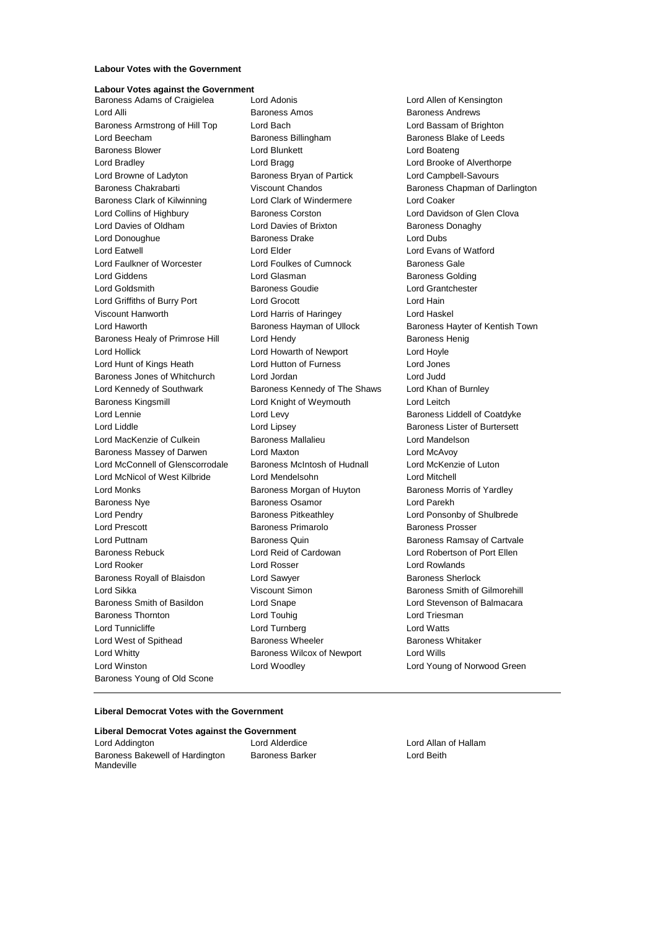#### **Labour Votes with the Government**

### **Labour Votes against the Government**

Lord Alli **Baroness Amos** Baroness Amos **Baroness Andrews** Baroness Andrews Baroness Armstrong of Hill Top Lord Bach Lord Bassam of Brighton Lord Beecham **Baroness Billingham** Baroness Blake of Leeds Baroness Blower Lord Blunkett Lord Boateng Lord Bradley Lord Bragg Lord Brooke of Alverthorpe Lord Browne of Ladyton Baroness Bryan of Partick Lord Campbell-Savours Baroness Chakrabarti Viscount Chandos Baroness Chapman of Darlington Baroness Clark of Kilwinning Lord Clark of Windermere Lord Coaker Lord Collins of Highbury **Baroness Corston** Corston Lord Davidson of Glen Clova Lord Davies of Oldham Lord Davies of Brixton Baroness Donaghy Lord Donoughue **Baroness Drake** Lord Dubs Lord Eatwell Lord Elder Lord Evans of Watford Lord Faulkner of Worcester **Lord Foulkes of Cumnock** Baroness Gale Lord Giddens **Lord Glasman** Baroness Golding Lord Goldsmith Baroness Goudie Lord Grantchester Lord Griffiths of Burry Port Lord Grocott Lord Hain Viscount Hanworth Lord Harris of Haringey Lord Haskel Lord Haworth **Baroness Hayman of Ullock** Baroness Hayter of Kentish Town Baroness Healy of Primrose Hill Lord Hendy Contract Report Baroness Henig Lord Hollick Lord Howarth of Newport Lord Hoyle Lord Hunt of Kings Heath Lord Hutton of Furness Lord Jones Baroness Jones of Whitchurch Lord Jordan Lord Judd Lord Kennedy of Southwark **Baroness Kennedy of The Shaws** Lord Khan of Burnley Baroness Kingsmill **Lord Knight of Weymouth** Lord Leitch Lord Lennie **Lord Levy** Lord Levy **Baroness Liddell of Coatdyke** Lord Liddle Lord Lipsey Baroness Lister of Burtersett Lord MacKenzie of Culkein Baroness Mallalieu Lord Mandelson Baroness Massey of Darwen Lord Maxton Lord McAvoy Lord McConnell of Glenscorrodale Baroness McIntosh of Hudnall Lord McKenzie of Luton Lord McNicol of West Kilbride Lord Mendelsohn Lord Mitchell Lord Monks Baroness Morgan of Huyton Baroness Morris of Yardley Baroness Nye **Baroness Osamor** Baroness Osamor **Lord Parekh** Lord Pendry **Baroness Pitkeathley Lord Ponsonby of Shulbrede** Lord Ponsonby of Shulbrede Lord Prescott Baroness Primarolo Baroness Prosser Lord Puttnam Baroness Quin Baroness Ramsay of Cartvale Baroness Rebuck Lord Reid of Cardowan Lord Robertson of Port Ellen Lord Rooker Lord Rosser Lord Rowlands Baroness Royall of Blaisdon Lord Sawyer Baroness Sherlock Lord Sikka **Viscount Simon** Baroness Smith of Gilmorehill **Communist System** Baroness Smith of Gilmorehill Baroness Smith of Basildon Lord Snape Lord Stevenson of Balmacara Baroness Thornton **Lord Touhig** Lord Touhig Lord Triesman Lord Tunnicliffe Lord Turnberg Lord Watts Lord West of Spithead **Baroness Wheeler** Baroness Whitaker Lord Whitty **Baroness Wilcox of Newport** Lord Wills Lord Winston Lord Woodley Lord Young of Norwood Green Baroness Young of Old Scone

Baroness Adams of Craigielea Lord Adonis Lord Allen of Kensington

#### **Liberal Democrat Votes with the Government**

#### **Liberal Democrat Votes against the Government** Lord Addington Lord Alderdice Lord Allan of Hallam

Baroness Bakewell of Hardington Mandeville

Baroness Barker Lord Beith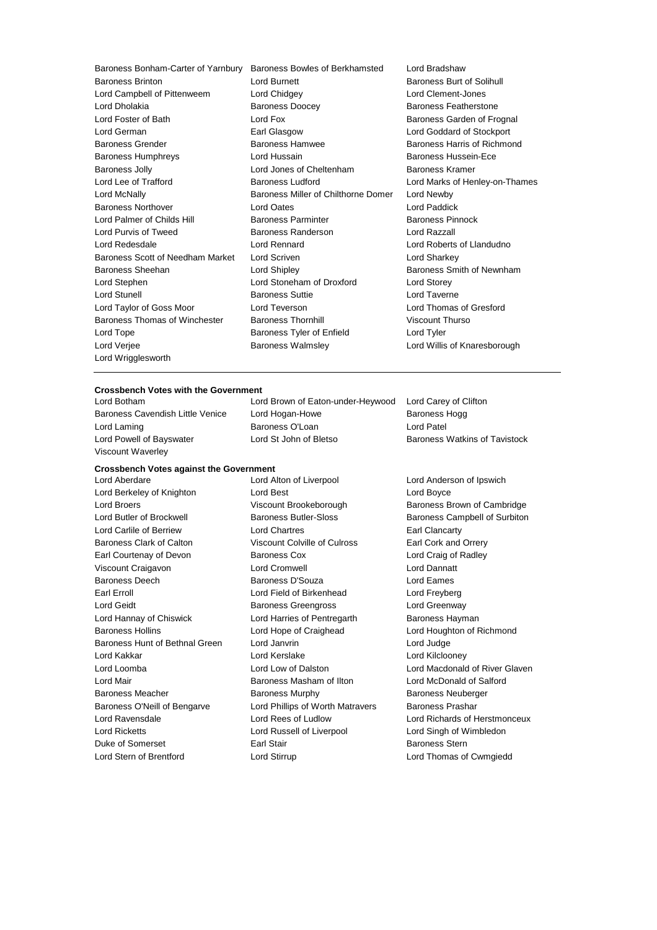Baroness Bonham-Carter of Yarnbury Baroness Bowles of Berkhamsted Lord Bradshaw Baroness Brinton **Baroness** Brinton **Baroness Burt of Solihull** Baroness Burt of Solihull Lord Campbell of Pittenweem Lord Chidgey Lord Clement-Jones Lord Dholakia Baroness Doocey Baroness Featherstone Lord Foster of Bath **Lord Fox** Lord Fox **Baroness Garden of Frognal** Lord German Earl Glasgow Lord Goddard of Stockport Baroness Grender **Baroness Hamwee** Baroness Hamwee **Baroness Harris of Richmond** Baroness Humphreys **Example 2** Lord Hussain **Baroness Hussein-Ece** Baroness Jolly **Communist Constructed Lord Jones of Cheltenham** Baroness Kramer Lord Lee of Trafford Baroness Ludford Lord Marks of Henley-on-Thames Lord McNally Baroness Miller of Chilthorne Domer Lord Newby Baroness Northover Lord Oates Lord Paddick Lord Palmer of Childs Hill Baroness Parminter Baroness Pinnock Lord Purvis of Tweed Baroness Randerson Lord Razzall Lord Redesdale Lord Rennard Lord Roberts of Llandudno Baroness Scott of Needham Market Lord Scriven Lord Charless Scott of Needham Market Lord Striven Baroness Sheehan **Baroness** Sheehan Lord Shipley **Baroness Smith of Newnham** Lord Stephen Lord Stoneham of Droxford Lord Storey Lord Stunell Baroness Suttie Lord Taverne Lord Taylor of Goss Moor Lord Teverson Lord Thomas of Gresford Baroness Thomas of Winchester Baroness Thornhill Viscount Thurso Lord Tope **Baroness Tyler of Enfield** Lord Tyler Lord Verjee **Baroness Walmsley Lord Willis of Knaresborough** Cord Willis of Knaresborough Lord Wrigglesworth

#### **Crossbench Votes with the Government**

Viscount Waverley

Lord Botham Lord Brown of Eaton-under-Heywood Lord Carey of Clifton Baroness Cavendish Little Venice Lord Hogan-Howe **Baroness Hogg** Baroness Hogg Lord Laming **Baroness O'Loan** Lord Patel Lord Powell of Bayswater **Lord St John of Bletso** Baroness Watkins of Tavistock

## **Crossbench Votes against the Government**

Lord Berkeley of Knighton Lord Best Lord Boyce Lord Broers **Example 2** Viscount Brookeborough Baroness Brown of Cambridge Lord Butler of Brockwell Baroness Butler-Sloss Baroness Campbell of Surbiton Lord Carlile of Berriew Lord Chartres Earl Clancarty Baroness Clark of Calton Viscount Colville of Culross Earl Cork and Orrery Earl Courtenay of Devon Baroness Cox Lord Craig of Radley Viscount Craigavon Lord Cromwell Lord Dannatt Baroness Deech Baroness D'Souza Lord Eames Earl Erroll Lord Field of Birkenhead Lord Freyberg Lord Geidt **Baroness Greengross** Lord Greenway Lord Hannay of Chiswick **Lord Harries of Pentregarth** Baroness Hayman Baroness Hollins Lord Hope of Craighead Lord Houghton of Richmond Baroness Hunt of Bethnal Green Lord Janvrin **Lord Judge** Lord Judge Lord Kakkar Lord Kerslake Lord Kilclooney Lord Loomba Lord Low of Dalston Lord Macdonald of River Glaven Lord Mair **Baroness Masham of Ilton** Lord McDonald of Salford Lord McDonald of Salford Baroness Meacher **Baroness Murphy** Baroness Neuberger **Baroness Neuberger** Baroness O'Neill of Bengarve Lord Phillips of Worth Matravers Baroness Prashar Lord Ravensdale Lord Rees of Ludlow Lord Richards of Herstmonceux Lord Ricketts Lord Russell of Liverpool Lord Singh of Wimbledon Duke of Somerset **Earl Stair** Earl Stair Baroness Stern Lord Stern of Brentford Lord Stirrup Lord Thomas of Cwmgiedd

Lord Aberdare Lord Alton of Liverpool Lord Anderson of Ipswich